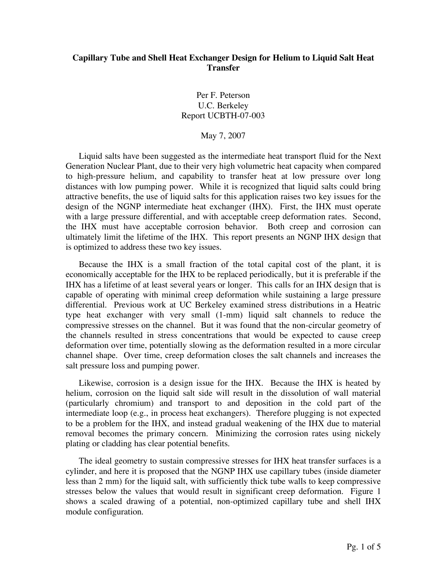## **Capillary Tube and Shell Heat Exchanger Design for Helium to Liquid Salt Heat Transfer**

Per F. Peterson U.C. Berkeley Report UCBTH-07-003

## May 7, 2007

Liquid salts have been suggested as the intermediate heat transport fluid for the Next Generation Nuclear Plant, due to their very high volumetric heat capacity when compared to high-pressure helium, and capability to transfer heat at low pressure over long distances with low pumping power. While it is recognized that liquid salts could bring attractive benefits, the use of liquid salts for this application raises two key issues for the design of the NGNP intermediate heat exchanger (IHX). First, the IHX must operate with a large pressure differential, and with acceptable creep deformation rates. Second, the IHX must have acceptable corrosion behavior. Both creep and corrosion can ultimately limit the lifetime of the IHX. This report presents an NGNP IHX design that is optimized to address these two key issues.

Because the IHX is a small fraction of the total capital cost of the plant, it is economically acceptable for the IHX to be replaced periodically, but it is preferable if the IHX has a lifetime of at least several years or longer. This calls for an IHX design that is capable of operating with minimal creep deformation while sustaining a large pressure differential. Previous work at UC Berkeley examined stress distributions in a Heatric type heat exchanger with very small (1-mm) liquid salt channels to reduce the compressive stresses on the channel. But it was found that the non-circular geometry of the channels resulted in stress concentrations that would be expected to cause creep deformation over time, potentially slowing as the deformation resulted in a more circular channel shape. Over time, creep deformation closes the salt channels and increases the salt pressure loss and pumping power.

Likewise, corrosion is a design issue for the IHX. Because the IHX is heated by helium, corrosion on the liquid salt side will result in the dissolution of wall material (particularly chromium) and transport to and deposition in the cold part of the intermediate loop (e.g., in process heat exchangers). Therefore plugging is not expected to be a problem for the IHX, and instead gradual weakening of the IHX due to material removal becomes the primary concern. Minimizing the corrosion rates using nickely plating or cladding has clear potential benefits.

The ideal geometry to sustain compressive stresses for IHX heat transfer surfaces is a cylinder, and here it is proposed that the NGNP IHX use capillary tubes (inside diameter less than 2 mm) for the liquid salt, with sufficiently thick tube walls to keep compressive stresses below the values that would result in significant creep deformation. Figure 1 shows a scaled drawing of a potential, non-optimized capillary tube and shell IHX module configuration.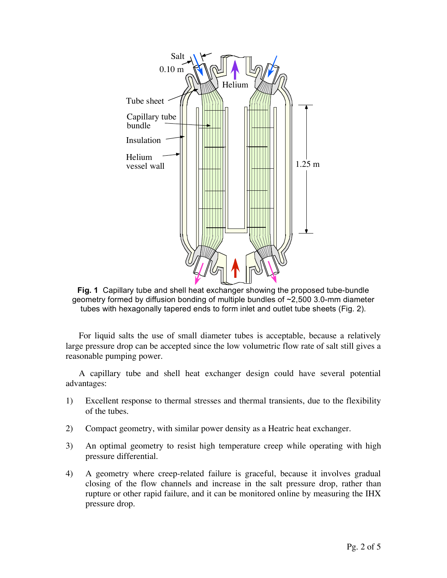

**Fig. 1** Capillary tube and shell heat exchanger showing the proposed tube-bundle geometry formed by diffusion bonding of multiple bundles of ~2,500 3.0-mm diameter tubes with hexagonally tapered ends to form inlet and outlet tube sheets (Fig. 2).

For liquid salts the use of small diameter tubes is acceptable, because a relatively large pressure drop can be accepted since the low volumetric flow rate of salt still gives a reasonable pumping power.

A capillary tube and shell heat exchanger design could have several potential advantages:

- 1) Excellent response to thermal stresses and thermal transients, due to the flexibility of the tubes.
- 2) Compact geometry, with similar power density as a Heatric heat exchanger.
- 3) An optimal geometry to resist high temperature creep while operating with high pressure differential.
- 4) A geometry where creep-related failure is graceful, because it involves gradual closing of the flow channels and increase in the salt pressure drop, rather than rupture or other rapid failure, and it can be monitored online by measuring the IHX pressure drop.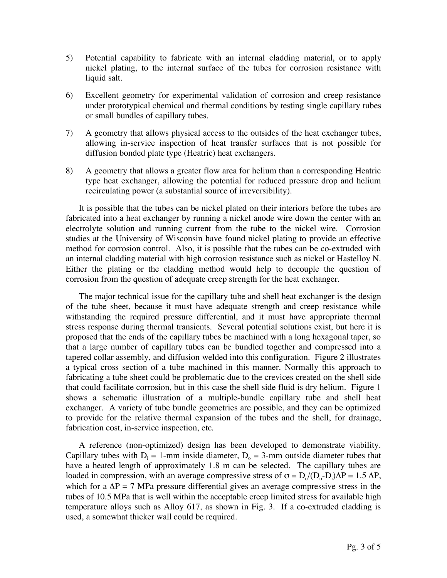- 5) Potential capability to fabricate with an internal cladding material, or to apply nickel plating, to the internal surface of the tubes for corrosion resistance with liquid salt.
- 6) Excellent geometry for experimental validation of corrosion and creep resistance under prototypical chemical and thermal conditions by testing single capillary tubes or small bundles of capillary tubes.
- 7) A geometry that allows physical access to the outsides of the heat exchanger tubes, allowing in-service inspection of heat transfer surfaces that is not possible for diffusion bonded plate type (Heatric) heat exchangers.
- 8) A geometry that allows a greater flow area for helium than a corresponding Heatric type heat exchanger, allowing the potential for reduced pressure drop and helium recirculating power (a substantial source of irreversibility).

It is possible that the tubes can be nickel plated on their interiors before the tubes are fabricated into a heat exchanger by running a nickel anode wire down the center with an electrolyte solution and running current from the tube to the nickel wire. Corrosion studies at the University of Wisconsin have found nickel plating to provide an effective method for corrosion control. Also, it is possible that the tubes can be co-extruded with an internal cladding material with high corrosion resistance such as nickel or Hastelloy N. Either the plating or the cladding method would help to decouple the question of corrosion from the question of adequate creep strength for the heat exchanger.

The major technical issue for the capillary tube and shell heat exchanger is the design of the tube sheet, because it must have adequate strength and creep resistance while withstanding the required pressure differential, and it must have appropriate thermal stress response during thermal transients. Several potential solutions exist, but here it is proposed that the ends of the capillary tubes be machined with a long hexagonal taper, so that a large number of capillary tubes can be bundled together and compressed into a tapered collar assembly, and diffusion welded into this configuration. Figure 2 illustrates a typical cross section of a tube machined in this manner. Normally this approach to fabricating a tube sheet could be problematic due to the crevices created on the shell side that could facilitate corrosion, but in this case the shell side fluid is dry helium. Figure 1 shows a schematic illustration of a multiple-bundle capillary tube and shell heat exchanger. A variety of tube bundle geometries are possible, and they can be optimized to provide for the relative thermal expansion of the tubes and the shell, for drainage, fabrication cost, in-service inspection, etc.

A reference (non-optimized) design has been developed to demonstrate viability. Capillary tubes with  $D_i = 1$ -mm inside diameter,  $D_0 = 3$ -mm outside diameter tubes that have a heated length of approximately 1.8 m can be selected. The capillary tubes are loaded in compression, with an average compressive stress of  $\sigma = D_o/(D_o - D_i)\Delta P = 1.5 \Delta P$ , which for a  $\Delta P = 7$  MPa pressure differential gives an average compressive stress in the tubes of 10.5 MPa that is well within the acceptable creep limited stress for available high temperature alloys such as Alloy 617, as shown in Fig. 3. If a co-extruded cladding is used, a somewhat thicker wall could be required.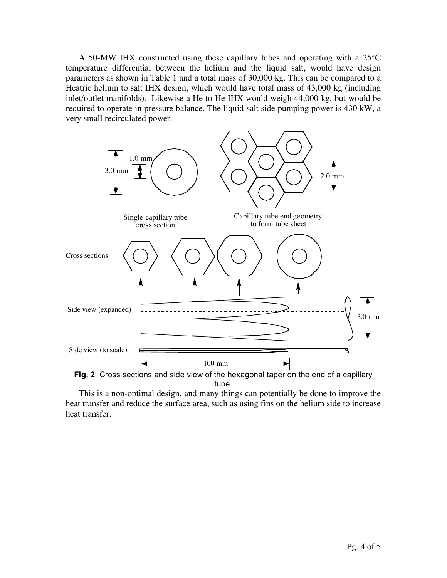A 50-MW IHX constructed using these capillary tubes and operating with a 25°C temperature differential between the helium and the liquid salt, would have design parameters as shown in Table 1 and a total mass of 30,000 kg. This can be compared to a Heatric helium to salt IHX design, which would have total mass of 43,000 kg (including inlet/outlet manifolds). Likewise a He to He IHX would weigh 44,000 kg, but would be required to operate in pressure balance. The liquid salt side pumping power is 430 kW, a very small recirculated power.



tube.

This is a non-optimal design, and many things can potentially be done to improve the heat transfer and reduce the surface area, such as using fins on the helium side to increase heat transfer.